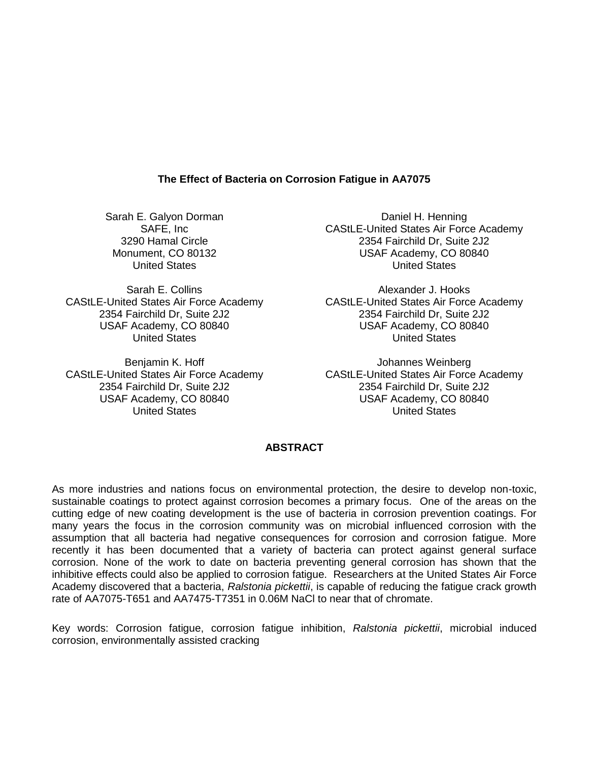# **The Effect of Bacteria on Corrosion Fatigue in AA7075**

Sarah E. Galyon Dorman SAFE, Inc 3290 Hamal Circle Monument, CO 80132 United States

Sarah E. Collins CAStLE-United States Air Force Academy CAStLE-United States Air Force Academy 2354 Fairchild Dr, Suite 2J2 USAF Academy, CO 80840 United States

Benjamin K. Hoff CAStLE-United States Air Force Academy CAStLE-United States Air Force Academy 2354 Fairchild Dr, Suite 2J2 USAF Academy, CO 80840 United States

Daniel H. Henning CAStLE-United States Air Force Academy 2354 Fairchild Dr, Suite 2J2 USAF Academy, CO 80840 United States

Alexander J. Hooks 2354 Fairchild Dr, Suite 2J2 USAF Academy, CO 80840 United States

Johannes Weinberg 2354 Fairchild Dr, Suite 2J2 USAF Academy, CO 80840 United States

# **ABSTRACT**

As more industries and nations focus on environmental protection, the desire to develop non-toxic, sustainable coatings to protect against corrosion becomes a primary focus. One of the areas on the cutting edge of new coating development is the use of bacteria in corrosion prevention coatings. For many years the focus in the corrosion community was on microbial influenced corrosion with the assumption that all bacteria had negative consequences for corrosion and corrosion fatigue. More recently it has been documented that a variety of bacteria can protect against general surface corrosion. None of the work to date on bacteria preventing general corrosion has shown that the inhibitive effects could also be applied to corrosion fatigue. Researchers at the United States Air Force Academy discovered that a bacteria, *Ralstonia pickettii*, is capable of reducing the fatigue crack growth rate of AA7075-T651 and AA7475-T7351 in 0.06M NaCl to near that of chromate.

Key words: Corrosion fatigue, corrosion fatigue inhibition, *Ralstonia pickettii*, microbial induced corrosion, environmentally assisted cracking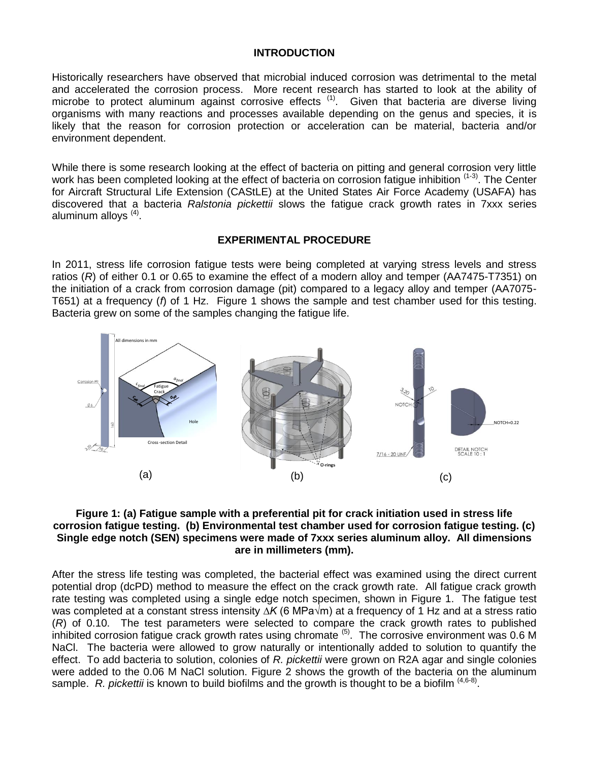# **INTRODUCTION**

Historically researchers have observed that microbial induced corrosion was detrimental to the metal and accelerated the corrosion process. More recent research has started to look at the ability of microbe to protect aluminum against corrosive effects<sup>(1)</sup>. Given that bacteria are diverse living organisms with many reactions and processes available depending on the genus and species, it is likely that the reason for corrosion protection or acceleration can be material, bacteria and/or environment dependent.

While there is some research looking at the effect of bacteria on pitting and general corrosion very little work has been completed looking at the effect of bacteria on corrosion fatigue inhibition <sup>(1-3)</sup>. The Center for Aircraft Structural Life Extension (CAStLE) at the United States Air Force Academy (USAFA) has discovered that a bacteria *Ralstonia pickettii* slows the fatigue crack growth rates in 7xxx series aluminum alloys <sup>(4)</sup>.

## **EXPERIMENTAL PROCEDURE**

In 2011, stress life corrosion fatigue tests were being completed at varying stress levels and stress ratios (*R*) of either 0.1 or 0.65 to examine the effect of a modern alloy and temper (AA7475-T7351) on the initiation of a crack from corrosion damage (pit) compared to a legacy alloy and temper (AA7075- T651) at a frequency (*f*) of 1 Hz. [Figure 1](#page-1-0) shows the sample and test chamber used for this testing. Bacteria grew on some of the samples changing the fatigue life.



#### <span id="page-1-0"></span>**Figure 1: (a) Fatigue sample with a preferential pit for crack initiation used in stress life corrosion fatigue testing. (b) Environmental test chamber used for corrosion fatigue testing. (c) Single edge notch (SEN) specimens were made of 7xxx series aluminum alloy. All dimensions are in millimeters (mm).**

After the stress life testing was completed, the bacterial effect was examined using the direct current potential drop (dcPD) method to measure the effect on the crack growth rate. All fatigue crack growth rate testing was completed using a single edge notch specimen, shown in [Figure 1.](#page-1-0) The fatigue test was completed at a constant stress intensity *∆K* (6 MPa√m) at a frequency of 1 Hz and at a stress ratio (*R*) of 0.10. The test parameters were selected to compare the crack growth rates to published  $\overline{a}$  inhibited corrosion fatigue crack growth rates using chromate  $\overline{b}$ . The corrosive environment was 0.6 M NaCl. The bacteria were allowed to grow naturally or intentionally added to solution to quantify the effect. To add bacteria to solution, colonies of *R. pickettii* were grown on R2A agar and single colonies were added to the 0.06 M NaCl solution. [Figure 2](#page-2-0) shows the growth of the bacteria on the aluminum sample. R. pickettii is known to build biofilms and the growth is thought to be a biofilm <sup>(4,6-8)</sup>.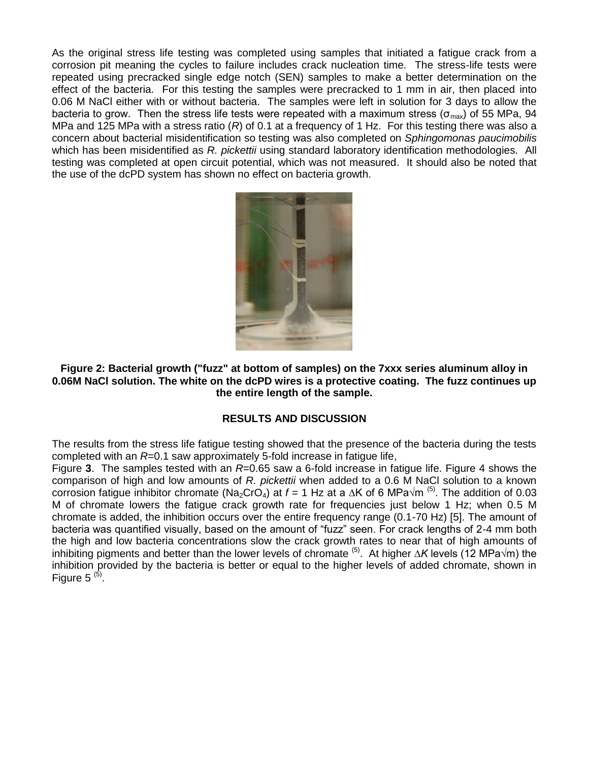As the original stress life testing was completed using samples that initiated a fatigue crack from a corrosion pit meaning the cycles to failure includes crack nucleation time. The stress-life tests were repeated using precracked single edge notch (SEN) samples to make a better determination on the effect of the bacteria. For this testing the samples were precracked to 1 mm in air, then placed into 0.06 M NaCl either with or without bacteria. The samples were left in solution for 3 days to allow the bacteria to grow. Then the stress life tests were repeated with a maximum stress ( $\sigma_{\text{max}}$ ) of 55 MPa, 94 MPa and 125 MPa with a stress ratio (*R*) of 0.1 at a frequency of 1 Hz. For this testing there was also a concern about bacterial misidentification so testing was also completed on *Sphingomonas paucimobilis* which has been misidentified as *R. pickettii* using standard laboratory identification methodologies. All testing was completed at open circuit potential, which was not measured. It should also be noted that the use of the dcPD system has shown no effect on bacteria growth.



#### <span id="page-2-0"></span>**Figure 2: Bacterial growth ("fuzz" at bottom of samples) on the 7xxx series aluminum alloy in 0.06M NaCl solution. The white on the dcPD wires is a protective coating. The fuzz continues up the entire length of the sample.**

# **RESULTS AND DISCUSSION**

The results from the stress life fatigue testing showed that the presence of the bacteria during the tests completed with an *R*=0.1 saw approximately 5-fold increase in fatigue life,

[Figure](#page-3-0) **3**. The samples tested with an *R*=0.65 saw a 6-fold increase in fatigue life. [Figure 4](#page-4-0) shows the comparison of high and low amounts of *R. pickettii* when added to a 0.6 M NaCl solution to a known corrosion fatigue inhibitor chromate (Na<sub>2</sub>CrO<sub>4</sub>) at *f* = 1 Hz at a ∆K of 6 MPa√m <sup>(5)</sup>. The addition of 0.03 M of chromate lowers the fatigue crack growth rate for frequencies just below 1 Hz; when 0.5 M chromate is added, the inhibition occurs over the entire frequency range (0.1-70 Hz) [5]. The amount of bacteria was quantified visually, based on the amount of "fuzz" seen. For crack lengths of 2-4 mm both the high and low bacteria concentrations slow the crack growth rates to near that of high amounts of inhibiting pigments and better than the lower levels of chromate (5) . At higher *∆K* levels (12 MPa√m) the inhibition provided by the bacteria is better or equal to the higher levels of added chromate, shown in [Figure 5](#page-4-1)  $<sup>(5)</sup>$ .</sup>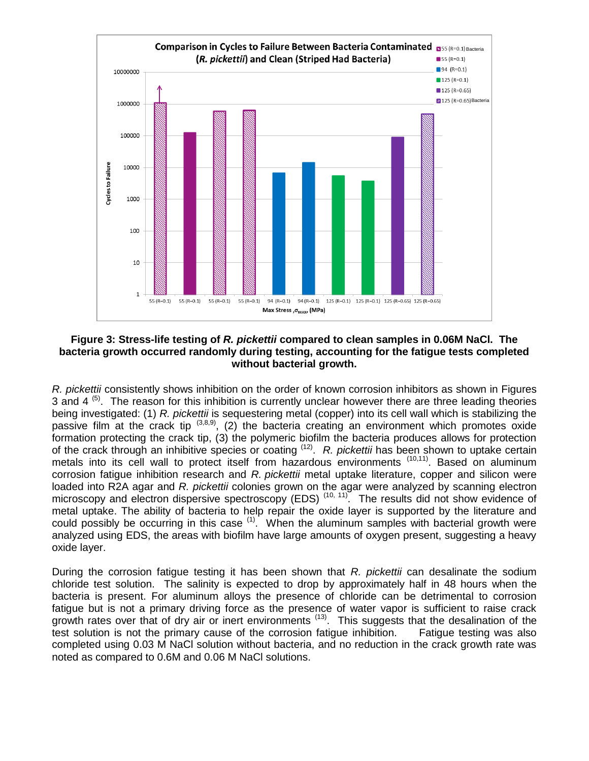

## <span id="page-3-0"></span>**Figure 3: Stress-life testing of** *R. pickettii* **compared to clean samples in 0.06M NaCl. The bacteria growth occurred randomly during testing, accounting for the fatigue tests completed without bacterial growth.**

*R. pickettii* consistently shows inhibition on the order of known corrosion inhibitors as shown in Figures 3 and 4  $<sup>(5)</sup>$ . The reason for this inhibition is currently unclear however there are three leading theories</sup> being investigated: (1) *R. pickettii* is sequestering metal (copper) into its cell wall which is stabilizing the passive film at the crack tip  $(3,8,9)$ , (2) the bacteria creating an environment which promotes oxide formation protecting the crack tip, (3) the polymeric biofilm the bacteria produces allows for protection of the crack through an inhibitive species or coating <sup>(12)</sup>. R. pickettii has been shown to uptake certain metals into its cell wall to protect itself from hazardous environments (10,11). Based on aluminum corrosion fatigue inhibition research and *R. pickettii* metal uptake literature, copper and silicon were loaded into R2A agar and *R. pickettii* colonies grown on the agar were analyzed by scanning electron microscopy and electron dispersive spectroscopy (EDS)<sup>(10, 11)</sup>. The results did not show evidence of metal uptake. The ability of bacteria to help repair the oxide layer is supported by the literature and could possibly be occurring in this case <sup>(1)</sup>. When the aluminum samples with bacterial growth were analyzed using EDS, the areas with biofilm have large amounts of oxygen present, suggesting a heavy oxide layer.

During the corrosion fatigue testing it has been shown that *R. pickettii* can desalinate the sodium chloride test solution. The salinity is expected to drop by approximately half in 48 hours when the bacteria is present. For aluminum alloys the presence of chloride can be detrimental to corrosion fatigue but is not a primary driving force as the presence of water vapor is sufficient to raise crack growth rates over that of dry air or inert environments <sup>(13)</sup>. This suggests that the desalination of the test solution is not the primary cause of the corrosion fatigue inhibition. Fatigue testing was also completed using 0.03 M NaCl solution without bacteria, and no reduction in the crack growth rate was noted as compared to 0.6M and 0.06 M NaCl solutions.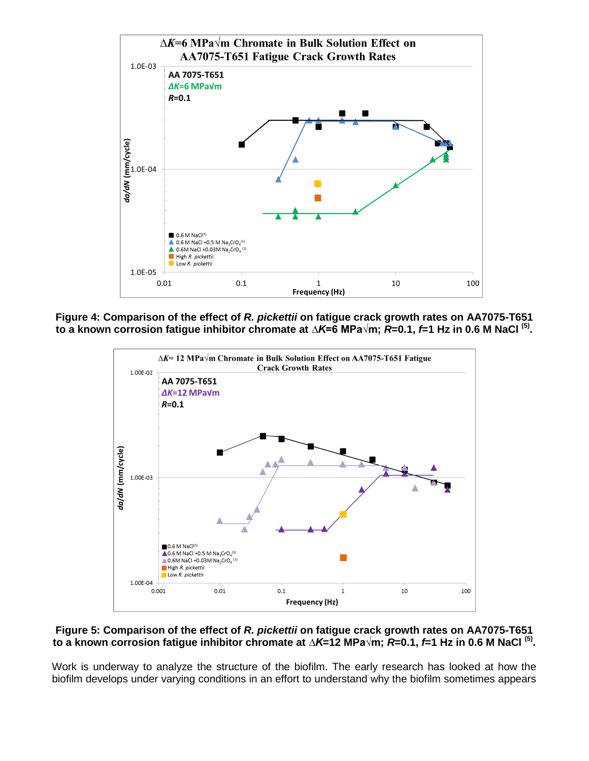

<span id="page-4-0"></span>**Figure 4: Comparison of the effect of** *R. pickettii* **on fatigue crack growth rates on AA7075-T651 to a known corrosion fatigue inhibitor chromate at** *∆K***=6 MPa√m;** *R***=0.1,** *f***=1 Hz in 0.6 M NaCl (5) .**



### <span id="page-4-1"></span>**Figure 5: Comparison of the effect of** *R. pickettii* **on fatigue crack growth rates on AA7075-T651 to a known corrosion fatigue inhibitor chromate at** *∆K***=12 MPa√m;** *R***=0.1,** *f***=1 Hz in 0.6 M NaCl (5) .**

Work is underway to analyze the structure of the biofilm. The early research has looked at how the biofilm develops under varying conditions in an effort to understand why the biofilm sometimes appears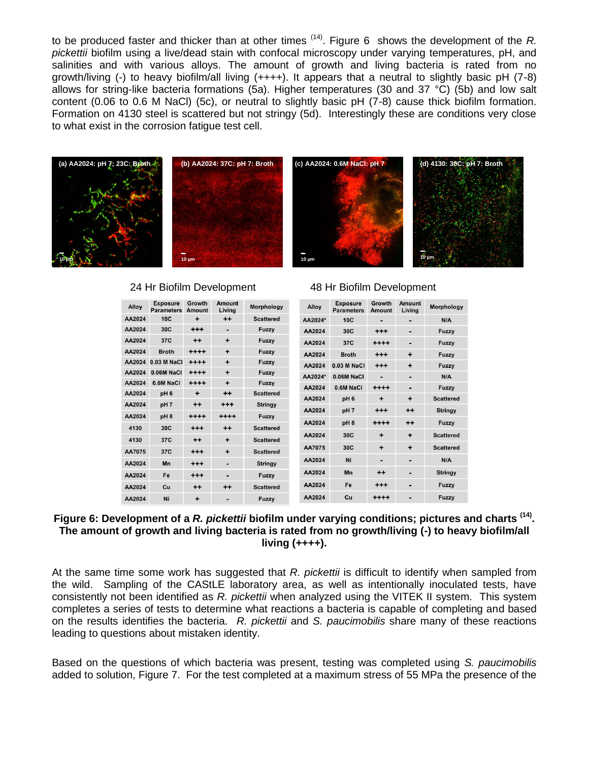to be produced faster and thicker than at other times (14) . [Figure 6](#page-5-0) shows the development of the *R. pickettii* biofilm using a live/dead stain with confocal microscopy under varying temperatures, pH, and salinities and with various alloys. The amount of growth and living bacteria is rated from no growth/living (-) to heavy biofilm/all living  $(++++)$ . It appears that a neutral to slightly basic pH (7-8) allows for string-like bacteria formations (5a). Higher temperatures (30 and 37 °C) (5b) and low salt content (0.06 to 0.6 M NaCl) (5c), or neutral to slightly basic pH (7-8) cause thick biofilm formation. Formation on 4130 steel is scattered but not stringy (5d). Interestingly these are conditions very close to what exist in the corrosion fatigue test cell.



| Alloy  | <b>Exposure</b><br><b>Parameters</b> | Growth<br><b>Amount</b> | Amount<br>Living | Morphology       |
|--------|--------------------------------------|-------------------------|------------------|------------------|
| AA2024 | 10C                                  | +                       | $+ +$            | <b>Scattered</b> |
| AA2024 | 30C                                  | $^{+ + +}$              | -                | Fuzzy            |
| AA2024 | 37C                                  | $++$                    | ÷                | Fuzzy            |
| AA2024 | <b>Broth</b>                         | $^{***}$                | ÷                | Fuzzy            |
| AA2024 | 0.03 M NaCl                          | $^{++++}$               | ÷                | Fuzzy            |
| AA2024 | 0.06M NaCl                           | $***$                   | ÷                | Fuzzy            |
| AA2024 | 0.6M NaCl                            | $^{***}$                | ÷                | Fuzzy            |
| AA2024 | pH <sub>6</sub>                      | ÷                       | $^{++}$          | <b>Scattered</b> |
| AA2024 | pH <sub>7</sub>                      | $^{\mathrm{+}}$         | $^{++}$          | <b>Stringy</b>   |
| AA2024 | pH <sub>8</sub>                      | $***$                   | $***$            | Fuzzy            |
| 4130   | 30C                                  | $^{+++}$                | $^{++}$          | <b>Scattered</b> |
| 4130   | 37C                                  | $++$                    | ÷                | <b>Scattered</b> |
| AA7075 | 37C                                  | $^{++}$                 | ٠                | <b>Scattered</b> |
| AA2024 | Mn                                   | +++                     | -                | <b>Stringy</b>   |
| AA2024 | Fe                                   | $^{+++}$                | -                | Fuzzy            |
| AA2024 | Cu                                   | $++$                    | $++$             | <b>Scattered</b> |
| AA2024 | Ni                                   | ٠                       |                  | Fuzzy            |

#### 24 Hr Biofilm Development 48 Hr Biofilm Development

| Alloy   | <b>Exposure</b><br><b>Parameters</b> | Growth<br>Amount | Amount<br>Living | Morphology       |
|---------|--------------------------------------|------------------|------------------|------------------|
| AA2024* | 10C                                  |                  |                  | N/A              |
| AA2024  | 30C                                  | $^{+++}$         |                  | Fuzzy            |
| AA2024  | 37C                                  | $^{***}$         |                  | Fuzzy            |
| AA2024  | <b>Broth</b>                         | $^{++}$          | ÷                | Fuzzy            |
| AA2024  | $0.03$ M NaCl                        | $^{++}$          | ۰                | Fuzzy            |
| AA2024* | $0.06M$ NaCl                         |                  |                  | N/A              |
| AA2024  | 0.6M NaCl                            | $^{++++}$        |                  | <b>Fuzzy</b>     |
| AA2024  | pH <sub>6</sub>                      | ٠                | ÷                | <b>Scattered</b> |
| AA2024  | pH <sub>7</sub>                      | $^{++}$          | $^{\tiny{++}}$   | <b>Stringy</b>   |
| AA2024  | pH <sub>8</sub>                      | $^{***}$         | $++$             | Fuzzy            |
| AA2024  | 30C                                  | ٠                | ÷                | <b>Scattered</b> |
| AA7075  | 30C                                  | ÷                | ÷                | <b>Scattered</b> |
| AA2024  | Ni                                   |                  |                  | N/A              |
| AA2024  | Mn                                   | $^{\mathrm{+}}$  |                  | <b>Stringy</b>   |
| AA2024  | Fe                                   | $^{++}$          |                  | Fuzzy            |
| AA2024  | Cu                                   | ++++             |                  | Fuzzy            |

## <span id="page-5-0"></span>**Figure 6: Development of a** *R. pickettii* **biofilm under varying conditions; pictures and charts (14) . The amount of growth and living bacteria is rated from no growth/living (-) to heavy biofilm/all living (++++).**

At the same time some work has suggested that *R. pickettii* is difficult to identify when sampled from the wild. Sampling of the CAStLE laboratory area, as well as intentionally inoculated tests, have consistently not been identified as *R. pickettii* when analyzed using the VITEK II system. This system completes a series of tests to determine what reactions a bacteria is capable of completing and based on the results identifies the bacteria. *R. pickettii* and *S. paucimobilis* share many of these reactions leading to questions about mistaken identity.

Based on the questions of which bacteria was present, testing was completed using *S. paucimobilis* added to solution, [Figure 7.](#page-6-0) For the test completed at a maximum stress of 55 MPa the presence of the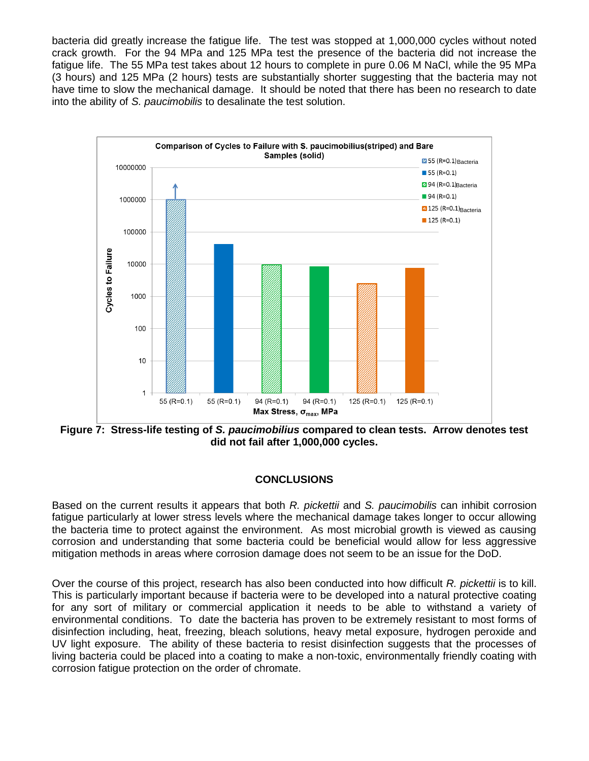bacteria did greatly increase the fatigue life. The test was stopped at 1,000,000 cycles without noted crack growth. For the 94 MPa and 125 MPa test the presence of the bacteria did not increase the fatigue life. The 55 MPa test takes about 12 hours to complete in pure 0.06 M NaCl, while the 95 MPa (3 hours) and 125 MPa (2 hours) tests are substantially shorter suggesting that the bacteria may not have time to slow the mechanical damage. It should be noted that there has been no research to date into the ability of *S. paucimobilis* to desalinate the test solution.



<span id="page-6-0"></span>**Figure 7: Stress-life testing of** *S. paucimobilius* **compared to clean tests. Arrow denotes test did not fail after 1,000,000 cycles.**

# **CONCLUSIONS**

Based on the current results it appears that both *R. pickettii* and *S. paucimobilis* can inhibit corrosion fatigue particularly at lower stress levels where the mechanical damage takes longer to occur allowing the bacteria time to protect against the environment. As most microbial growth is viewed as causing corrosion and understanding that some bacteria could be beneficial would allow for less aggressive mitigation methods in areas where corrosion damage does not seem to be an issue for the DoD.

Over the course of this project, research has also been conducted into how difficult *R. pickettii* is to kill. This is particularly important because if bacteria were to be developed into a natural protective coating for any sort of military or commercial application it needs to be able to withstand a variety of environmental conditions. To date the bacteria has proven to be extremely resistant to most forms of disinfection including, heat, freezing, bleach solutions, heavy metal exposure, hydrogen peroxide and UV light exposure. The ability of these bacteria to resist disinfection suggests that the processes of living bacteria could be placed into a coating to make a non-toxic, environmentally friendly coating with corrosion fatigue protection on the order of chromate.